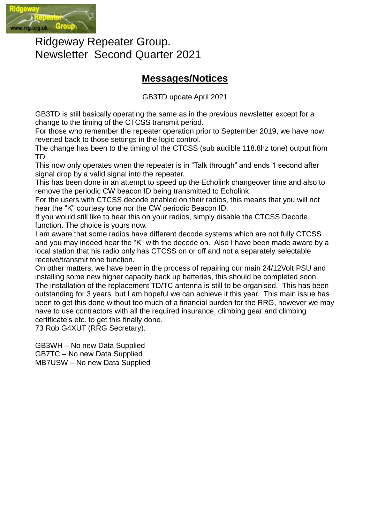

Ridgeway Repeater Group. Newsletter Second Quarter 2021

### **Messages/Notices**

GB3TD update April 2021

GB3TD is still basically operating the same as in the previous newsletter except for a change to the timing of the CTCSS transmit period.

For those who remember the repeater operation prior to September 2019, we have now reverted back to those settings in the logic control.

The change has been to the timing of the CTCSS (sub audible 118.8hz tone) output from TD.

This now only operates when the repeater is in "Talk through" and ends 1 second after signal drop by a valid signal into the repeater.

This has been done in an attempt to speed up the Echolink changeover time and also to remove the periodic CW beacon ID being transmitted to Echolink.

For the users with CTCSS decode enabled on their radios, this means that you will not hear the "K" courtesy tone nor the CW periodic Beacon ID.

If you would still like to hear this on your radios, simply disable the CTCSS Decode function. The choice is yours now.

I am aware that some radios have different decode systems which are not fully CTCSS and you may indeed hear the "K" with the decode on. Also I have been made aware by a local station that his radio only has CTCSS on or off and not a separately selectable receive/transmit tone function.

On other matters, we have been in the process of repairing our main 24/12Volt PSU and installing some new higher capacity back up batteries, this should be completed soon. The installation of the replacement TD/TC antenna is still to be organised. This has been outstanding for 3 years, but I am hopeful we can achieve it this year. This main issue has been to get this done without too much of a financial burden for the RRG, however we may have to use contractors with all the required insurance, climbing gear and climbing certificate's etc. to get this finally done.

73 Rob G4XUT (RRG Secretary).

GB3WH – No new Data Supplied GB7TC – No new Data Supplied MB7USW – No new Data Supplied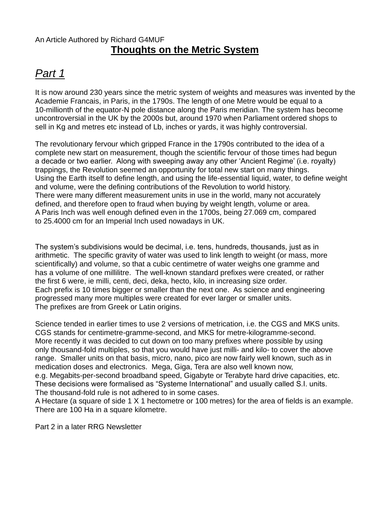### An Article Authored by Richard G4MUF **Thoughts on the Metric System**

# *Part 1*

It is now around 230 years since the metric system of weights and measures was invented by the Academie Francais, in Paris, in the 1790s. The length of one Metre would be equal to a 10-millionth of the equator-N pole distance along the Paris meridian. The system has become uncontroversial in the UK by the 2000s but, around 1970 when Parliament ordered shops to sell in Kg and metres etc instead of Lb, inches or yards, it was highly controversial.

The revolutionary fervour which gripped France in the 1790s contributed to the idea of a complete new start on measurement, though the scientific fervour of those times had begun a decade or two earlier. Along with sweeping away any other 'Ancient Regime' (i.e. royalty) trappings, the Revolution seemed an opportunity for total new start on many things. Using the Earth itself to define length, and using the life-essential liquid, water, to define weight and volume, were the defining contributions of the Revolution to world history. There were many different measurement units in use in the world, many not accurately defined, and therefore open to fraud when buying by weight length, volume or area. A Paris Inch was well enough defined even in the 1700s, being 27.069 cm, compared to 25.4000 cm for an Imperial Inch used nowadays in UK.

The system's subdivisions would be decimal, i.e. tens, hundreds, thousands, just as in arithmetic. The specific gravity of water was used to link length to weight (or mass, more scientifically) and volume, so that a cubic centimetre of water weighs one gramme and has a volume of one millilitre. The well-known standard prefixes were created, or rather the first 6 were, ie milli, centi, deci, deka, hecto, kilo, in increasing size order. Each prefix is 10 times bigger or smaller than the next one. As science and engineering progressed many more multiples were created for ever larger or smaller units. The prefixes are from Greek or Latin origins.

Science tended in earlier times to use 2 versions of metrication, i.e. the CGS and MKS units. CGS stands for centimetre-gramme-second, and MKS for metre-kilogramme-second. More recently it was decided to cut down on too many prefixes where possible by using only thousand-fold multiples, so that you would have just milli- and kilo- to cover the above range. Smaller units on that basis, micro, nano, pico are now fairly well known, such as in medication doses and electronics. Mega, Giga, Tera are also well known now, e.g. Megabits-per-second broadband speed, Gigabyte or Terabyte hard drive capacities, etc. These decisions were formalised as "Systeme International" and usually called S.I. units. The thousand-fold rule is not adhered to in some cases.

A Hectare (a square of side 1 X 1 hectometre or 100 metres) for the area of fields is an example. There are 100 Ha in a square kilometre.

Part 2 in a later RRG Newsletter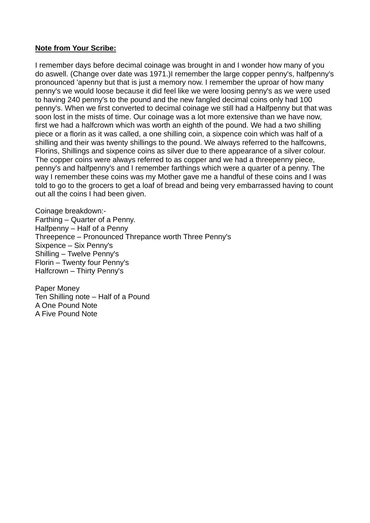#### **Note from Your Scribe:**

I remember days before decimal coinage was brought in and I wonder how many of you do aswell. (Change over date was 1971.)I remember the large copper penny's, halfpenny's pronounced 'apenny but that is just a memory now. I remember the uproar of how many penny's we would loose because it did feel like we were loosing penny's as we were used to having 240 penny's to the pound and the new fangled decimal coins only had 100 penny's. When we first converted to decimal coinage we still had a Halfpenny but that was soon lost in the mists of time. Our coinage was a lot more extensive than we have now, first we had a halfcrown which was worth an eighth of the pound. We had a two shilling piece or a florin as it was called, a one shilling coin, a sixpence coin which was half of a shilling and their was twenty shillings to the pound. We always referred to the halfcowns, Florins, Shillings and sixpence coins as silver due to there appearance of a silver colour. The copper coins were always referred to as copper and we had a threepenny piece, penny's and halfpenny's and I remember farthings which were a quarter of a penny. The way I remember these coins was my Mother gave me a handful of these coins and I was told to go to the grocers to get a loaf of bread and being very embarrassed having to count out all the coins I had been given.

Coinage breakdown:- Farthing – Quarter of a Penny. Halfpenny – Half of a Penny Threepence – Pronounced Threpance worth Three Penny's Sixpence – Six Penny's Shilling – Twelve Penny's Florin – Twenty four Penny's Halfcrown – Thirty Penny's

Paper Money Ten Shilling note – Half of a Pound A One Pound Note A Five Pound Note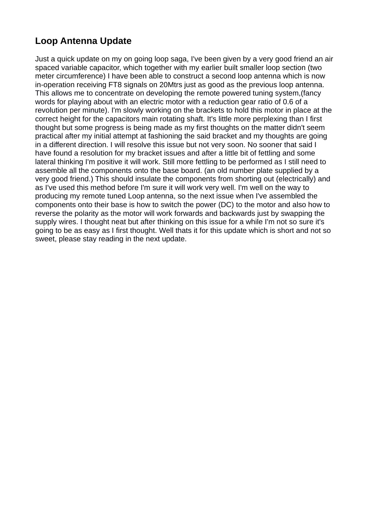### **Loop Antenna Update**

Just a quick update on my on going loop saga, I've been given by a very good friend an air spaced variable capacitor, which together with my earlier built smaller loop section (two meter circumference) I have been able to construct a second loop antenna which is now in-operation receiving FT8 signals on 20Mtrs just as good as the previous loop antenna. This allows me to concentrate on developing the remote powered tuning system,(fancy words for playing about with an electric motor with a reduction gear ratio of 0.6 of a revolution per minute). I'm slowly working on the brackets to hold this motor in place at the correct height for the capacitors main rotating shaft. It's little more perplexing than I first thought but some progress is being made as my first thoughts on the matter didn't seem practical after my initial attempt at fashioning the said bracket and my thoughts are going in a different direction. I will resolve this issue but not very soon. No sooner that said I have found a resolution for my bracket issues and after a little bit of fettling and some lateral thinking I'm positive it will work. Still more fettling to be performed as I still need to assemble all the components onto the base board. (an old number plate supplied by a very good friend.) This should insulate the components from shorting out (electrically) and as I've used this method before I'm sure it will work very well. I'm well on the way to producing my remote tuned Loop antenna, so the next issue when I've assembled the components onto their base is how to switch the power (DC) to the motor and also how to reverse the polarity as the motor will work forwards and backwards just by swapping the supply wires. I thought neat but after thinking on this issue for a while I'm not so sure it's going to be as easy as I first thought. Well thats it for this update which is short and not so sweet, please stay reading in the next update.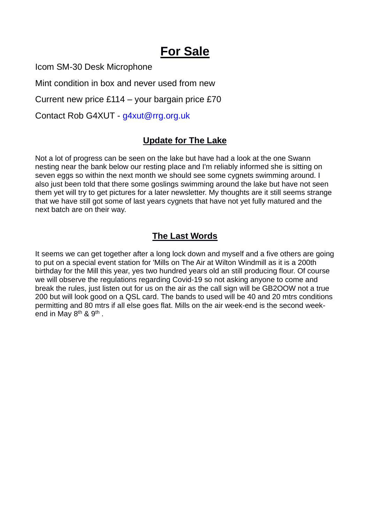# **For Sale**

Icom SM-30 Desk Microphone

Mint condition in box and never used from new

Current new price £114 – your bargain price £70

Contact Rob G4XUT - g4xut@rrg.org.uk

### **Update for The Lake**

Not a lot of progress can be seen on the lake but have had a look at the one Swann nesting near the bank below our resting place and I'm reliably informed she is sitting on seven eggs so within the next month we should see some cygnets swimming around. I also just been told that there some goslings swimming around the lake but have not seen them yet will try to get pictures for a later newsletter. My thoughts are it still seems strange that we have still got some of last years cygnets that have not yet fully matured and the next batch are on their way.

### **The Last Words**

It seems we can get together after a long lock down and myself and a five others are going to put on a special event station for 'Mills on The Air at Wilton Windmill as it is a 200th birthday for the Mill this year, yes two hundred years old an still producing flour. Of course we will observe the regulations regarding Covid-19 so not asking anyone to come and break the rules, just listen out for us on the air as the call sign will be GB2OOW not a true 200 but will look good on a QSL card. The bands to used will be 40 and 20 mtrs conditions permitting and 80 mtrs if all else goes flat. Mills on the air week-end is the second weekend in May 8<sup>th</sup> & 9<sup>th</sup>.